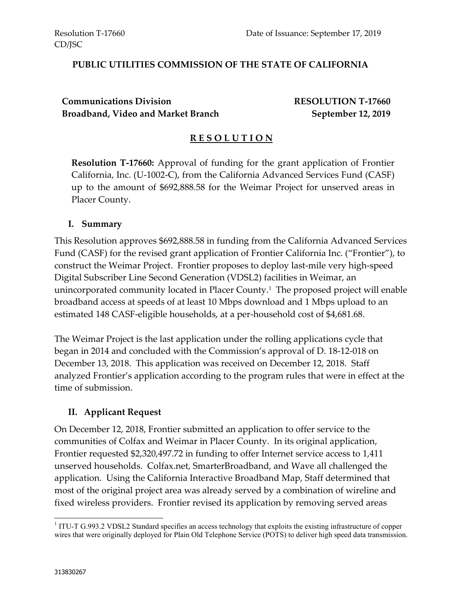#### **PUBLIC UTILITIES COMMISSION OF THE STATE OF CALIFORNIA**

### **Communications Division RESOLUTION T-17660 Broadband, Video and Market Branch September 12, 2019**

#### **R E S O L U T I O N**

**Resolution T-17660:** Approval of funding for the grant application of Frontier California, Inc. (U-1002-C), from the California Advanced Services Fund (CASF) up to the amount of \$692,888.58 for the Weimar Project for unserved areas in Placer County.

#### **I. Summary**

This Resolution approves \$692,888.58 in funding from the California Advanced Services Fund (CASF) for the revised grant application of Frontier California Inc. ("Frontier"), to construct the Weimar Project. Frontier proposes to deploy last-mile very high-speed Digital Subscriber Line Second Generation (VDSL2) facilities in Weimar, an unincorporated community located in Placer County.<sup>1</sup> The proposed project will enable broadband access at speeds of at least 10 Mbps download and 1 Mbps upload to an estimated 148 CASF-eligible households, at a per-household cost of \$4,681.68.

The Weimar Project is the last application under the rolling applications cycle that began in 2014 and concluded with the Commission's approval of D. 18-12-018 on December 13, 2018. This application was received on December 12, 2018. Staff analyzed Frontier's application according to the program rules that were in effect at the time of submission.

#### **II. Applicant Request**

On December 12, 2018, Frontier submitted an application to offer service to the communities of Colfax and Weimar in Placer County. In its original application, Frontier requested \$2,320,497.72 in funding to offer Internet service access to 1,411 unserved households. Colfax.net, SmarterBroadband, and Wave all challenged the application. Using the California Interactive Broadband Map, Staff determined that most of the original project area was already served by a combination of wireline and fixed wireless providers. Frontier revised its application by removing served areas

 $\overline{a}$ 

<sup>&</sup>lt;sup>1</sup> ITU-T G.993.2 VDSL2 Standard specifies an access technology that exploits the existing infrastructure of copper wires that were originally deployed for Plain Old Telephone Service (POTS) to deliver high speed data transmission.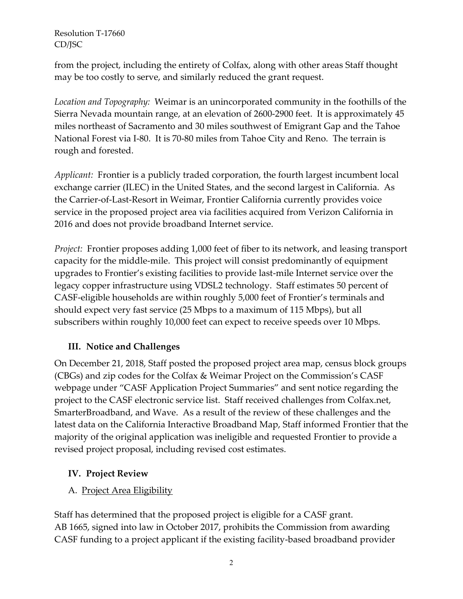from the project, including the entirety of Colfax, along with other areas Staff thought may be too costly to serve, and similarly reduced the grant request.

*Location and Topography:* Weimar is an unincorporated community in the foothills of the Sierra Nevada mountain range, at an elevation of 2600-2900 feet. It is approximately 45 miles northeast of Sacramento and 30 miles southwest of Emigrant Gap and the Tahoe National Forest via I-80. It is 70-80 miles from Tahoe City and Reno. The terrain is rough and forested.

*Applicant:* Frontier is a publicly traded corporation, the fourth largest incumbent local exchange carrier (ILEC) in the United States, and the second largest in California. As the Carrier-of-Last-Resort in Weimar, Frontier California currently provides voice service in the proposed project area via facilities acquired from Verizon California in 2016 and does not provide broadband Internet service.

*Project:* Frontier proposes adding 1,000 feet of fiber to its network, and leasing transport capacity for the middle-mile. This project will consist predominantly of equipment upgrades to Frontier's existing facilities to provide last-mile Internet service over the legacy copper infrastructure using VDSL2 technology. Staff estimates 50 percent of CASF-eligible households are within roughly 5,000 feet of Frontier's terminals and should expect very fast service (25 Mbps to a maximum of 115 Mbps), but all subscribers within roughly 10,000 feet can expect to receive speeds over 10 Mbps.

# **III. Notice and Challenges**

On December 21, 2018, Staff posted the proposed project area map, census block groups (CBGs) and zip codes for the Colfax & Weimar Project on the Commission's CASF webpage under "CASF Application Project Summaries" and sent notice regarding the project to the CASF electronic service list. Staff received challenges from Colfax.net, SmarterBroadband, and Wave. As a result of the review of these challenges and the latest data on the California Interactive Broadband Map, Staff informed Frontier that the majority of the original application was ineligible and requested Frontier to provide a revised project proposal, including revised cost estimates.

# **IV. Project Review**

# A. Project Area Eligibility

Staff has determined that the proposed project is eligible for a CASF grant. AB 1665, signed into law in October 2017, prohibits the Commission from awarding CASF funding to a project applicant if the existing facility-based broadband provider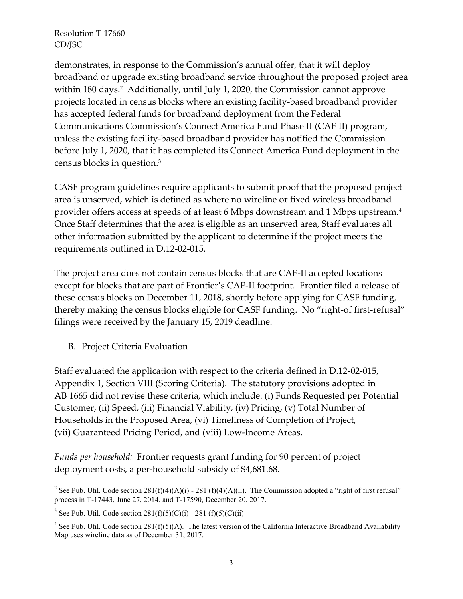demonstrates, in response to the Commission's annual offer, that it will deploy broadband or upgrade existing broadband service throughout the proposed project area within 180 days.<sup>2</sup> Additionally, until July 1, 2020, the Commission cannot approve projects located in census blocks where an existing facility-based broadband provider has accepted federal funds for broadband deployment from the Federal Communications Commission's Connect America Fund Phase II (CAF II) program, unless the existing facility-based broadband provider has notified the Commission before July 1, 2020, that it has completed its Connect America Fund deployment in the census blocks in question.<sup>3</sup>

CASF program guidelines require applicants to submit proof that the proposed project area is unserved, which is defined as where no wireline or fixed wireless broadband provider offers access at speeds of at least 6 Mbps downstream and 1 Mbps upstream. $^4$ Once Staff determines that the area is eligible as an unserved area, Staff evaluates all other information submitted by the applicant to determine if the project meets the requirements outlined in D.12-02-015.

The project area does not contain census blocks that are CAF-II accepted locations except for blocks that are part of Frontier's CAF-II footprint. Frontier filed a release of these census blocks on December 11, 2018, shortly before applying for CASF funding, thereby making the census blocks eligible for CASF funding. No "right-of first-refusal" filings were received by the January 15, 2019 deadline.

B. Project Criteria Evaluation

 $\overline{a}$ 

Staff evaluated the application with respect to the criteria defined in D.12-02-015, Appendix 1, Section VIII (Scoring Criteria). The statutory provisions adopted in AB 1665 did not revise these criteria, which include: (i) Funds Requested per Potential Customer, (ii) Speed, (iii) Financial Viability, (iv) Pricing, (v) Total Number of Households in the Proposed Area, (vi) Timeliness of Completion of Project, (vii) Guaranteed Pricing Period, and (viii) Low-Income Areas.

*Funds per household:* Frontier requests grant funding for 90 percent of project deployment costs, a per-household subsidy of \$4,681.68.

<sup>&</sup>lt;sup>2</sup> See Pub. Util. Code section  $281(f)(4)(A)(i)$  - 281 (f)(4)(A)(ii). The Commission adopted a "right of first refusal" process in T-17443, June 27, 2014, and T-17590, December 20, 2017.

<sup>&</sup>lt;sup>3</sup> See Pub. Util. Code section  $281(f)(5)(C)(i) - 281(f)(5)(C)(ii)$ 

<sup>&</sup>lt;sup>4</sup> See Pub. Util. Code section 281(f)(5)(A). The latest version of the California Interactive Broadband Availability Map uses wireline data as of December 31, 2017.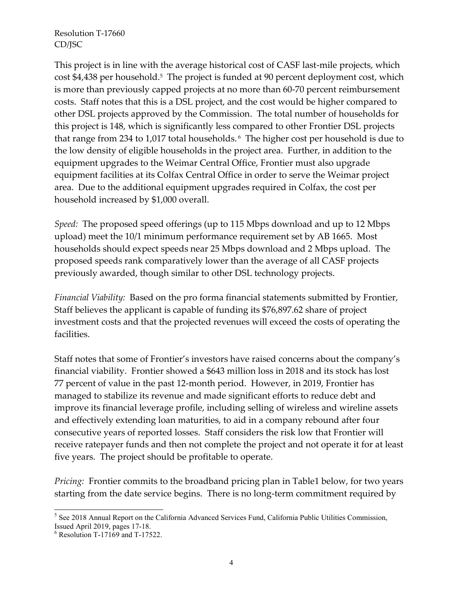This project is in line with the average historical cost of CASF last-mile projects, which cost \$4,438 per household. <sup>5</sup> The project is funded at 90 percent deployment cost, which is more than previously capped projects at no more than 60-70 percent reimbursement costs. Staff notes that this is a DSL project, and the cost would be higher compared to other DSL projects approved by the Commission. The total number of households for this project is 148, which is significantly less compared to other Frontier DSL projects that range from 234 to 1,017 total households. <sup>6</sup> The higher cost per household is due to the low density of eligible households in the project area. Further, in addition to the equipment upgrades to the Weimar Central Office, Frontier must also upgrade equipment facilities at its Colfax Central Office in order to serve the Weimar project area. Due to the additional equipment upgrades required in Colfax, the cost per household increased by \$1,000 overall.

*Speed:* The proposed speed offerings (up to 115 Mbps download and up to 12 Mbps upload) meet the 10/1 minimum performance requirement set by AB 1665. Most households should expect speeds near 25 Mbps download and 2 Mbps upload. The proposed speeds rank comparatively lower than the average of all CASF projects previously awarded, though similar to other DSL technology projects.

*Financial Viability:* Based on the pro forma financial statements submitted by Frontier, Staff believes the applicant is capable of funding its \$76,897.62 share of project investment costs and that the projected revenues will exceed the costs of operating the facilities.

Staff notes that some of Frontier's investors have raised concerns about the company's financial viability. Frontier showed a \$643 million loss in 2018 and its stock has lost 77 percent of value in the past 12-month period. However, in 2019, Frontier has managed to stabilize its revenue and made significant efforts to reduce debt and improve its financial leverage profile, including selling of wireless and wireline assets and effectively extending loan maturities, to aid in a company rebound after four consecutive years of reported losses. Staff considers the risk low that Frontier will receive ratepayer funds and then not complete the project and not operate it for at least five years. The project should be profitable to operate.

*Pricing:* Frontier commits to the broadband pricing plan in Table1 below, for two years starting from the date service begins. There is no long-term commitment required by

 $\overline{a}$ 

<sup>&</sup>lt;sup>5</sup> See 2018 Annual Report on the California Advanced Services Fund, California Public Utilities Commission, Issued April 2019, pages 17-18.

<sup>6</sup> Resolution T-17169 and T-17522.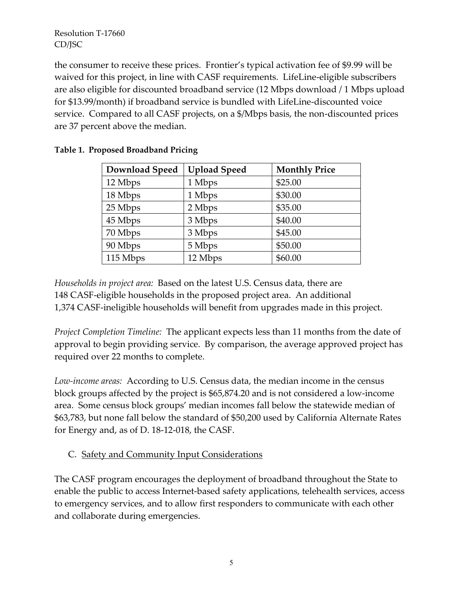the consumer to receive these prices. Frontier's typical activation fee of \$9.99 will be waived for this project, in line with CASF requirements. LifeLine-eligible subscribers are also eligible for discounted broadband service (12 Mbps download / 1 Mbps upload for \$13.99/month) if broadband service is bundled with LifeLine-discounted voice service. Compared to all CASF projects, on a \$/Mbps basis, the non-discounted prices are 37 percent above the median.

| <b>Download Speed</b> | <b>Upload Speed</b> | <b>Monthly Price</b> |
|-----------------------|---------------------|----------------------|
| 12 Mbps               | 1 Mbps              | \$25.00              |
| 18 Mbps               | 1 Mbps              | \$30.00              |
| 25 Mbps               | 2 Mbps              | \$35.00              |
| 45 Mbps               | 3 Mbps              | \$40.00              |
| 70 Mbps               | 3 Mbps              | \$45.00              |
| 90 Mbps               | 5 Mbps              | \$50.00              |
| 115 Mbps              | 12 Mbps             | \$60.00              |

|  | Table 1. Proposed Broadband Pricing |  |
|--|-------------------------------------|--|
|  |                                     |  |

*Households in project area:* Based on the latest U.S. Census data, there are 148 CASF-eligible households in the proposed project area. An additional 1,374 CASF-ineligible households will benefit from upgrades made in this project.

*Project Completion Timeline:* The applicant expects less than 11 months from the date of approval to begin providing service. By comparison, the average approved project has required over 22 months to complete.

*Low-income areas:* According to U.S. Census data, the median income in the census block groups affected by the project is \$65,874.20 and is not considered a low-income area. Some census block groups' median incomes fall below the statewide median of \$63,783, but none fall below the standard of \$50,200 used by California Alternate Rates for Energy and, as of D. 18-12-018, the CASF.

# C. Safety and Community Input Considerations

The CASF program encourages the deployment of broadband throughout the State to enable the public to access Internet-based safety applications, telehealth services, access to emergency services, and to allow first responders to communicate with each other and collaborate during emergencies.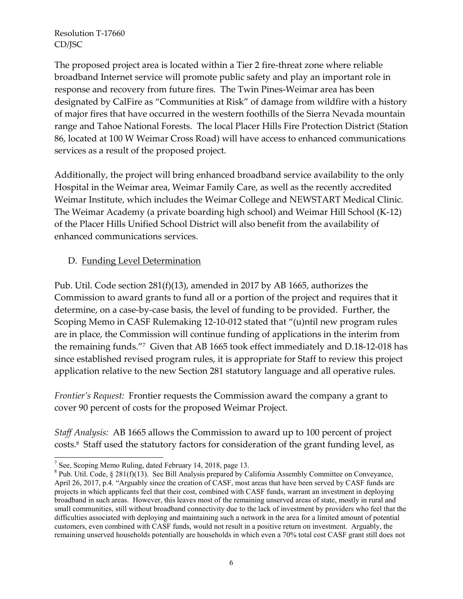The proposed project area is located within a Tier 2 fire-threat zone where reliable broadband Internet service will promote public safety and play an important role in response and recovery from future fires. The Twin Pines-Weimar area has been designated by CalFire as "Communities at Risk" of damage from wildfire with a history of major fires that have occurred in the western foothills of the Sierra Nevada mountain range and Tahoe National Forests. The local Placer Hills Fire Protection District (Station 86, located at 100 W Weimar Cross Road) will have access to enhanced communications services as a result of the proposed project.

Additionally, the project will bring enhanced broadband service availability to the only Hospital in the Weimar area, Weimar Family Care, as well as the recently accredited Weimar Institute, which includes the Weimar College and NEWSTART Medical Clinic. The Weimar Academy (a private boarding high school) and Weimar Hill School (K-12) of the Placer Hills Unified School District will also benefit from the availability of enhanced communications services.

#### D. Funding Level Determination

Pub. Util. Code section 281(f)(13), amended in 2017 by AB 1665, authorizes the Commission to award grants to fund all or a portion of the project and requires that it determine, on a case-by-case basis, the level of funding to be provided. Further, the Scoping Memo in CASF Rulemaking 12-10-012 stated that "(u)ntil new program rules are in place, the Commission will continue funding of applications in the interim from the remaining funds."<sup>7</sup> Given that AB 1665 took effect immediately and D.18-12-018 has since established revised program rules, it is appropriate for Staff to review this project application relative to the new Section 281 statutory language and all operative rules.

*Frontier's Request:* Frontier requests the Commission award the company a grant to cover 90 percent of costs for the proposed Weimar Project.

*Staff Analysis:* AB 1665 allows the Commission to award up to 100 percent of project costs.<sup>8</sup> Staff used the statutory factors for consideration of the grant funding level, as

 $\overline{a}$ 

<sup>&</sup>lt;sup>7</sup> See, Scoping Memo Ruling, dated February 14, 2018, page 13.

<sup>&</sup>lt;sup>8</sup> Pub. Util. Code, § 281(f)(13). See Bill Analysis prepared by California Assembly Committee on Conveyance, April 26, 2017, p.4. "Arguably since the creation of CASF, most areas that have been served by CASF funds are projects in which applicants feel that their cost, combined with CASF funds, warrant an investment in deploying broadband in such areas. However, this leaves most of the remaining unserved areas of state, mostly in rural and small communities, still without broadband connectivity due to the lack of investment by providers who feel that the difficulties associated with deploying and maintaining such a network in the area for a limited amount of potential customers, even combined with CASF funds, would not result in a positive return on investment. Arguably, the remaining unserved households potentially are households in which even a 70% total cost CASF grant still does not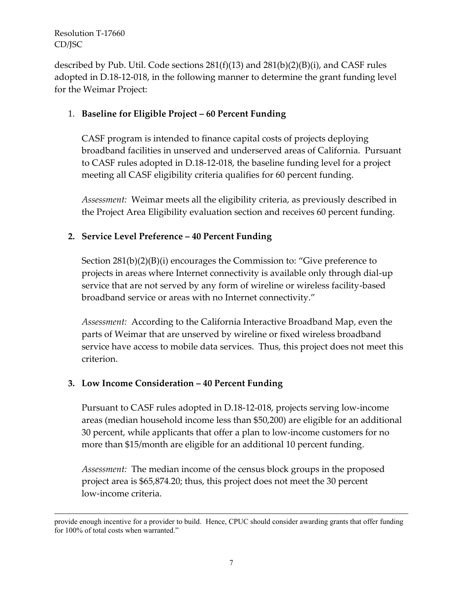$\overline{a}$ 

described by Pub. Util. Code sections 281(f)(13) and 281(b)(2)(B)(i), and CASF rules adopted in D.18-12-018, in the following manner to determine the grant funding level for the Weimar Project:

## 1. **Baseline for Eligible Project – 60 Percent Funding**

CASF program is intended to finance capital costs of projects deploying broadband facilities in unserved and underserved areas of California. Pursuant to CASF rules adopted in D.18-12-018, the baseline funding level for a project meeting all CASF eligibility criteria qualifies for 60 percent funding.

*Assessment:* Weimar meets all the eligibility criteria, as previously described in the Project Area Eligibility evaluation section and receives 60 percent funding.

## **2. Service Level Preference – 40 Percent Funding**

Section 281(b)(2)(B)(i) encourages the Commission to: "Give preference to projects in areas where Internet connectivity is available only through dial-up service that are not served by any form of wireline or wireless facility-based broadband service or areas with no Internet connectivity."

*Assessment:* According to the California Interactive Broadband Map, even the parts of Weimar that are unserved by wireline or fixed wireless broadband service have access to mobile data services. Thus, this project does not meet this criterion.

#### **3. Low Income Consideration – 40 Percent Funding**

Pursuant to CASF rules adopted in D.18-12-018, projects serving low-income areas (median household income less than \$50,200) are eligible for an additional 30 percent, while applicants that offer a plan to low-income customers for no more than \$15/month are eligible for an additional 10 percent funding.

*Assessment:* The median income of the census block groups in the proposed project area is \$65,874.20; thus, this project does not meet the 30 percent low-income criteria.

provide enough incentive for a provider to build. Hence, CPUC should consider awarding grants that offer funding for 100% of total costs when warranted."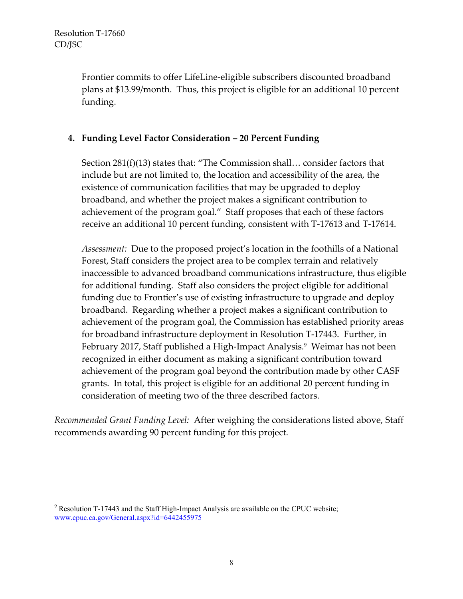Frontier commits to offer LifeLine-eligible subscribers discounted broadband plans at \$13.99/month. Thus, this project is eligible for an additional 10 percent funding.

### **4. Funding Level Factor Consideration – 20 Percent Funding**

Section 281(f)(13) states that: "The Commission shall… consider factors that include but are not limited to, the location and accessibility of the area, the existence of communication facilities that may be upgraded to deploy broadband, and whether the project makes a significant contribution to achievement of the program goal." Staff proposes that each of these factors receive an additional 10 percent funding, consistent with T-17613 and T-17614.

*Assessment:* Due to the proposed project's location in the foothills of a National Forest, Staff considers the project area to be complex terrain and relatively inaccessible to advanced broadband communications infrastructure, thus eligible for additional funding. Staff also considers the project eligible for additional funding due to Frontier's use of existing infrastructure to upgrade and deploy broadband. Regarding whether a project makes a significant contribution to achievement of the program goal, the Commission has established priority areas for broadband infrastructure deployment in Resolution T-17443. Further, in February 2017, Staff published a High-Impact Analysis.<sup>9</sup> Weimar has not been recognized in either document as making a significant contribution toward achievement of the program goal beyond the contribution made by other CASF grants. In total, this project is eligible for an additional 20 percent funding in consideration of meeting two of the three described factors.

*Recommended Grant Funding Level:* After weighing the considerations listed above, Staff recommends awarding 90 percent funding for this project.

 $\overline{a}$  $9$  Resolution T-17443 and the Staff High-Impact Analysis are available on the CPUC website; [www.cpuc.ca.gov/General.aspx?id=6442455975](http://www.cpuc.ca.gov/General.aspx?id=6442455975)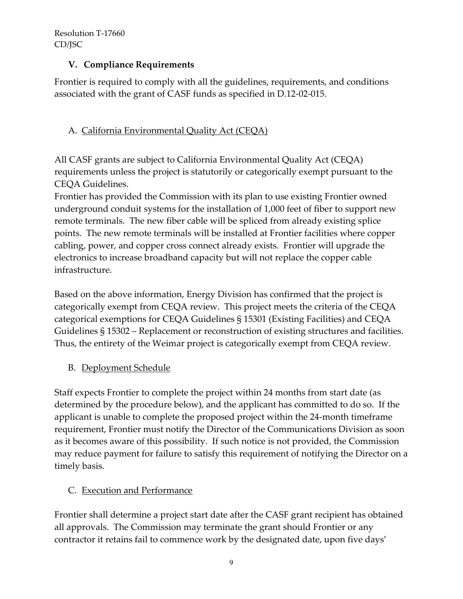## **V. Compliance Requirements**

Frontier is required to comply with all the guidelines, requirements, and conditions associated with the grant of CASF funds as specified in D.12-02-015.

# A. California Environmental Quality Act (CEQA)

All CASF grants are subject to California Environmental Quality Act (CEQA) requirements unless the project is statutorily or categorically exempt pursuant to the CEQA Guidelines.

Frontier has provided the Commission with its plan to use existing Frontier owned underground conduit systems for the installation of 1,000 feet of fiber to support new remote terminals. The new fiber cable will be spliced from already existing splice points. The new remote terminals will be installed at Frontier facilities where copper cabling, power, and copper cross connect already exists. Frontier will upgrade the electronics to increase broadband capacity but will not replace the copper cable infrastructure.

Based on the above information, Energy Division has confirmed that the project is categorically exempt from CEQA review. This project meets the criteria of the CEQA categorical exemptions for CEQA Guidelines § 15301 (Existing Facilities) and CEQA Guidelines § 15302 – Replacement or reconstruction of existing structures and facilities. Thus, the entirety of the Weimar project is categorically exempt from CEQA review.

#### B. Deployment Schedule

Staff expects Frontier to complete the project within 24 months from start date (as determined by the procedure below), and the applicant has committed to do so. If the applicant is unable to complete the proposed project within the 24-month timeframe requirement, Frontier must notify the Director of the Communications Division as soon as it becomes aware of this possibility. If such notice is not provided, the Commission may reduce payment for failure to satisfy this requirement of notifying the Director on a timely basis.

#### C. Execution and Performance

Frontier shall determine a project start date after the CASF grant recipient has obtained all approvals. The Commission may terminate the grant should Frontier or any contractor it retains fail to commence work by the designated date, upon five days'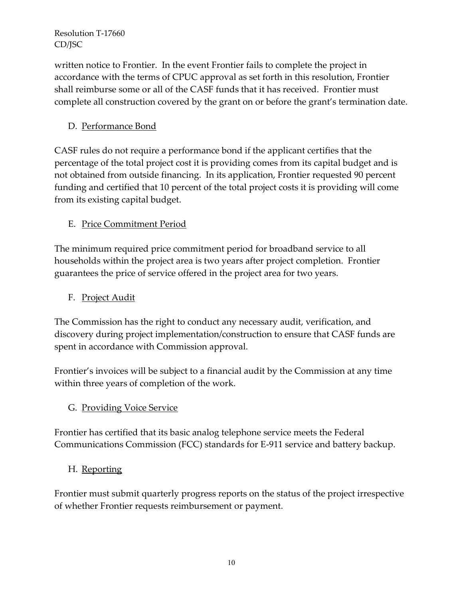written notice to Frontier. In the event Frontier fails to complete the project in accordance with the terms of CPUC approval as set forth in this resolution, Frontier shall reimburse some or all of the CASF funds that it has received. Frontier must complete all construction covered by the grant on or before the grant's termination date.

# D. Performance Bond

CASF rules do not require a performance bond if the applicant certifies that the percentage of the total project cost it is providing comes from its capital budget and is not obtained from outside financing. In its application, Frontier requested 90 percent funding and certified that 10 percent of the total project costs it is providing will come from its existing capital budget.

# E. Price Commitment Period

The minimum required price commitment period for broadband service to all households within the project area is two years after project completion. Frontier guarantees the price of service offered in the project area for two years.

## F. Project Audit

The Commission has the right to conduct any necessary audit, verification, and discovery during project implementation/construction to ensure that CASF funds are spent in accordance with Commission approval.

Frontier's invoices will be subject to a financial audit by the Commission at any time within three years of completion of the work.

#### G. Providing Voice Service

Frontier has certified that its basic analog telephone service meets the Federal Communications Commission (FCC) standards for E-911 service and battery backup.

#### H. Reporting

Frontier must submit quarterly progress reports on the status of the project irrespective of whether Frontier requests reimbursement or payment.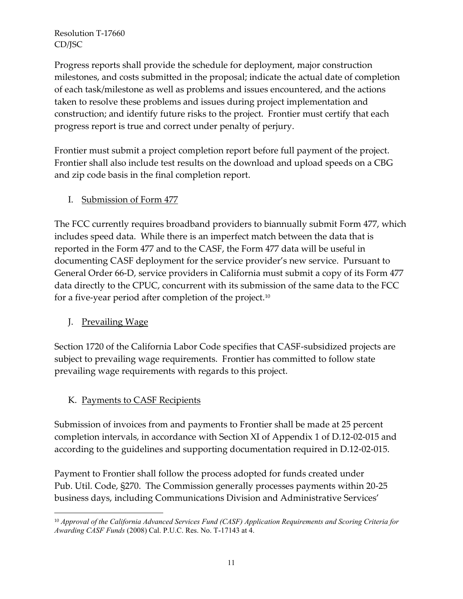Progress reports shall provide the schedule for deployment, major construction milestones, and costs submitted in the proposal; indicate the actual date of completion of each task/milestone as well as problems and issues encountered, and the actions taken to resolve these problems and issues during project implementation and construction; and identify future risks to the project. Frontier must certify that each progress report is true and correct under penalty of perjury.

Frontier must submit a project completion report before full payment of the project. Frontier shall also include test results on the download and upload speeds on a CBG and zip code basis in the final completion report.

# I. Submission of Form 477

The FCC currently requires broadband providers to biannually submit Form 477, which includes speed data. While there is an imperfect match between the data that is reported in the Form 477 and to the CASF, the Form 477 data will be useful in documenting CASF deployment for the service provider's new service. Pursuant to General Order 66-D, service providers in California must submit a copy of its Form 477 data directly to the CPUC, concurrent with its submission of the same data to the FCC for a five-year period after completion of the project.<sup>10</sup>

# J. Prevailing Wage

Section 1720 of the California Labor Code specifies that CASF-subsidized projects are subject to prevailing wage requirements. Frontier has committed to follow state prevailing wage requirements with regards to this project.

# K. Payments to CASF Recipients

Submission of invoices from and payments to Frontier shall be made at 25 percent completion intervals, in accordance with Section XI of Appendix 1 of D.12-02-015 and according to the guidelines and supporting documentation required in D.12-02-015.

Payment to Frontier shall follow the process adopted for funds created under Pub. Util. Code, §270. The Commission generally processes payments within 20-25 business days, including Communications Division and Administrative Services'

 $\overline{a}$ <sup>10</sup> *Approval of the California Advanced Services Fund (CASF) Application Requirements and Scoring Criteria for Awarding CASF Funds* (2008) Cal. P.U.C. Res. No. T-17143 at 4.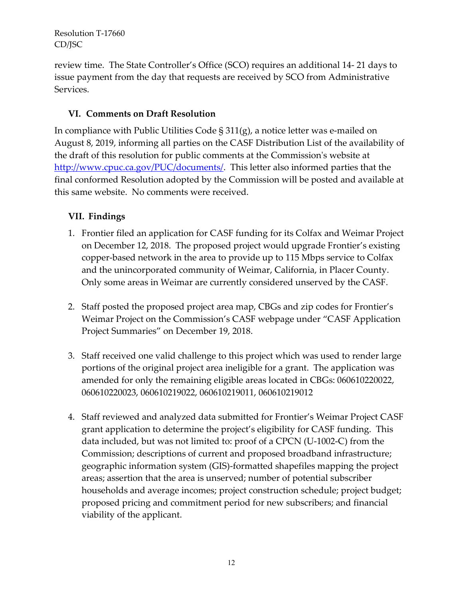review time. The State Controller's Office (SCO) requires an additional 14- 21 days to issue payment from the day that requests are received by SCO from Administrative Services.

# **VI. Comments on Draft Resolution**

In compliance with Public Utilities Code § 311(g), a notice letter was e-mailed on August 8, 2019, informing all parties on the CASF Distribution List of the availability of the draft of this resolution for public comments at the Commission's website at [http://www.cpuc.ca.gov/PUC/documents/.](http://www.cpuc.ca.gov/PUC/documents/) This letter also informed parties that the final conformed Resolution adopted by the Commission will be posted and available at this same website. No comments were received.

# **VII. Findings**

- 1. Frontier filed an application for CASF funding for its Colfax and Weimar Project on December 12, 2018. The proposed project would upgrade Frontier's existing copper-based network in the area to provide up to 115 Mbps service to Colfax and the unincorporated community of Weimar, California, in Placer County. Only some areas in Weimar are currently considered unserved by the CASF.
- 2. Staff posted the proposed project area map, CBGs and zip codes for Frontier's Weimar Project on the Commission's CASF webpage under "CASF Application Project Summaries" on December 19, 2018.
- 3. Staff received one valid challenge to this project which was used to render large portions of the original project area ineligible for a grant. The application was amended for only the remaining eligible areas located in CBGs: 060610220022, 060610220023, 060610219022, 060610219011, 060610219012
- 4. Staff reviewed and analyzed data submitted for Frontier's Weimar Project CASF grant application to determine the project's eligibility for CASF funding. This data included, but was not limited to: proof of a CPCN (U-1002-C) from the Commission; descriptions of current and proposed broadband infrastructure; geographic information system (GIS)-formatted shapefiles mapping the project areas; assertion that the area is unserved; number of potential subscriber households and average incomes; project construction schedule; project budget; proposed pricing and commitment period for new subscribers; and financial viability of the applicant.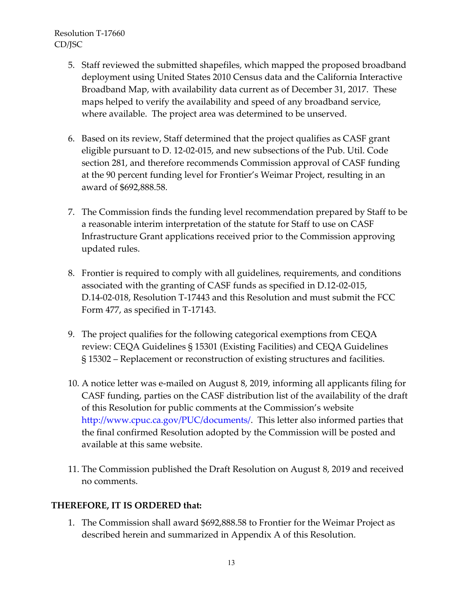- 5. Staff reviewed the submitted shapefiles, which mapped the proposed broadband deployment using United States 2010 Census data and the California Interactive Broadband Map, with availability data current as of December 31, 2017. These maps helped to verify the availability and speed of any broadband service, where available. The project area was determined to be unserved.
- 6. Based on its review, Staff determined that the project qualifies as CASF grant eligible pursuant to D. 12-02-015, and new subsections of the Pub. Util. Code section 281, and therefore recommends Commission approval of CASF funding at the 90 percent funding level for Frontier's Weimar Project, resulting in an award of \$692,888.58.
- 7. The Commission finds the funding level recommendation prepared by Staff to be a reasonable interim interpretation of the statute for Staff to use on CASF Infrastructure Grant applications received prior to the Commission approving updated rules.
- 8. Frontier is required to comply with all guidelines, requirements, and conditions associated with the granting of CASF funds as specified in D.12-02-015, D.14-02-018, Resolution T-17443 and this Resolution and must submit the FCC Form 477, as specified in T-17143.
- 9. The project qualifies for the following categorical exemptions from CEQA review: CEQA Guidelines § 15301 (Existing Facilities) and CEQA Guidelines § 15302 – Replacement or reconstruction of existing structures and facilities.
- 10. A notice letter was e-mailed on August 8, 2019, informing all applicants filing for CASF funding, parties on the CASF distribution list of the availability of the draft of this Resolution for public comments at the Commission's website http://www.cpuc.ca.gov/PUC/documents/. This letter also informed parties that the final confirmed Resolution adopted by the Commission will be posted and available at this same website.
- 11. The Commission published the Draft Resolution on August 8, 2019 and received no comments.

# **THEREFORE, IT IS ORDERED that:**

1. The Commission shall award \$692,888.58 to Frontier for the Weimar Project as described herein and summarized in Appendix A of this Resolution.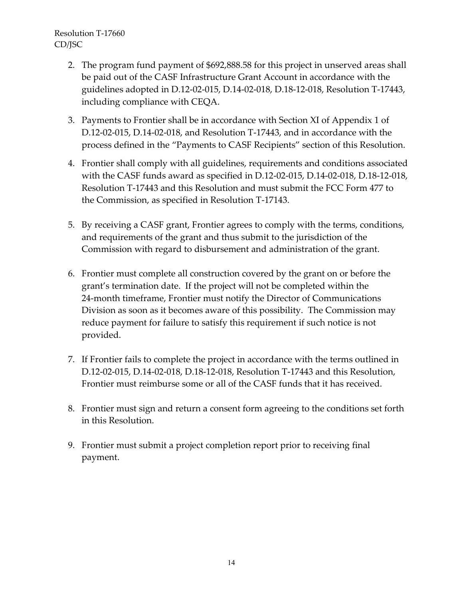- 2. The program fund payment of \$692,888.58 for this project in unserved areas shall be paid out of the CASF Infrastructure Grant Account in accordance with the guidelines adopted in D.12-02-015, D.14-02-018, D.18-12-018, Resolution T-17443, including compliance with CEQA.
- 3. Payments to Frontier shall be in accordance with Section XI of Appendix 1 of D.12-02-015, D.14-02-018, and Resolution T-17443, and in accordance with the process defined in the "Payments to CASF Recipients" section of this Resolution.
- 4. Frontier shall comply with all guidelines, requirements and conditions associated with the CASF funds award as specified in D.12-02-015, D.14-02-018, D.18-12-018, Resolution T-17443 and this Resolution and must submit the FCC Form 477 to the Commission, as specified in Resolution T-17143.
- 5. By receiving a CASF grant, Frontier agrees to comply with the terms, conditions, and requirements of the grant and thus submit to the jurisdiction of the Commission with regard to disbursement and administration of the grant.
- 6. Frontier must complete all construction covered by the grant on or before the grant's termination date. If the project will not be completed within the 24-month timeframe, Frontier must notify the Director of Communications Division as soon as it becomes aware of this possibility. The Commission may reduce payment for failure to satisfy this requirement if such notice is not provided.
- 7. If Frontier fails to complete the project in accordance with the terms outlined in D.12-02-015, D.14-02-018, D.18-12-018, Resolution T-17443 and this Resolution, Frontier must reimburse some or all of the CASF funds that it has received.
- 8. Frontier must sign and return a consent form agreeing to the conditions set forth in this Resolution.
- 9. Frontier must submit a project completion report prior to receiving final payment.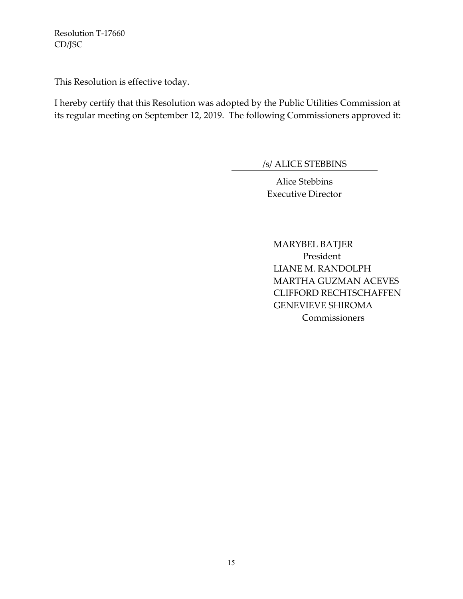This Resolution is effective today.

I hereby certify that this Resolution was adopted by the Public Utilities Commission at its regular meeting on September 12, 2019. The following Commissioners approved it:

/s/ ALICE STEBBINS

Alice Stebbins Executive Director

MARYBEL BATJER President LIANE M. RANDOLPH MARTHA GUZMAN ACEVES CLIFFORD RECHTSCHAFFEN GENEVIEVE SHIROMA **Commissioners**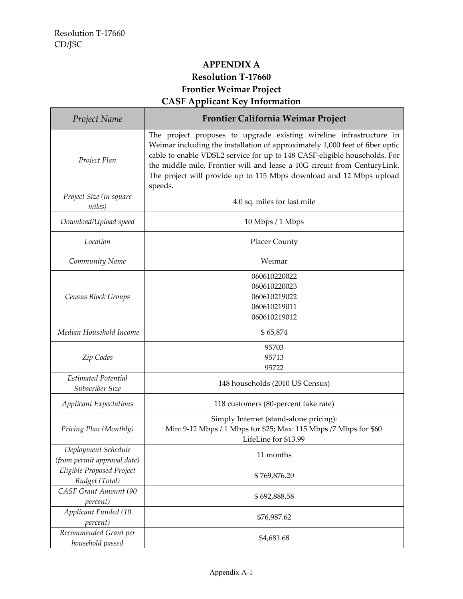# **APPENDIX A Resolution T-17660 Frontier Weimar Project CASF Applicant Key Information**

| Project Name                                       | <b>Frontier California Weimar Project</b>                                                                                                                                                                                                                                                                                                                                                      |  |
|----------------------------------------------------|------------------------------------------------------------------------------------------------------------------------------------------------------------------------------------------------------------------------------------------------------------------------------------------------------------------------------------------------------------------------------------------------|--|
| Project Plan                                       | The project proposes to upgrade existing wireline infrastructure in<br>Weimar including the installation of approximately 1,000 feet of fiber optic<br>cable to enable VDSL2 service for up to 148 CASF-eligible households. For<br>the middle mile, Frontier will and lease a 10G circuit from CenturyLink.<br>The project will provide up to 115 Mbps download and 12 Mbps upload<br>speeds. |  |
| Project Size (in square<br>miles)                  | 4.0 sq. miles for last mile                                                                                                                                                                                                                                                                                                                                                                    |  |
| Download/Upload speed                              | 10 Mbps / 1 Mbps                                                                                                                                                                                                                                                                                                                                                                               |  |
| Location                                           | <b>Placer County</b>                                                                                                                                                                                                                                                                                                                                                                           |  |
| Community Name                                     | Weimar                                                                                                                                                                                                                                                                                                                                                                                         |  |
| Census Block Groups                                | 060610220022<br>060610220023<br>060610219022<br>060610219011<br>060610219012                                                                                                                                                                                                                                                                                                                   |  |
| Median Household Income                            | \$65,874                                                                                                                                                                                                                                                                                                                                                                                       |  |
| Zip Codes                                          | 95703<br>95713<br>95722                                                                                                                                                                                                                                                                                                                                                                        |  |
| <b>Estimated Potential</b><br>Subscriber Size      | 148 households (2010 US Census)                                                                                                                                                                                                                                                                                                                                                                |  |
| <b>Applicant Expectations</b>                      | 118 customers (80-percent take rate)                                                                                                                                                                                                                                                                                                                                                           |  |
| Pricing Plan (Monthly)                             | Simply Internet (stand-alone pricing):<br>Min: 9-12 Mbps / 1 Mbps for \$25; Max: 115 Mbps /7 Mbps for \$60<br>LifeLine for \$13.99                                                                                                                                                                                                                                                             |  |
| Deployment Schedule<br>(from permit approval date) | 11 months                                                                                                                                                                                                                                                                                                                                                                                      |  |
| Eligible Proposed Project<br>Budget (Total)        | \$769,876.20                                                                                                                                                                                                                                                                                                                                                                                   |  |
| CASF Grant Amount (90<br>percent)                  | \$692,888.58                                                                                                                                                                                                                                                                                                                                                                                   |  |
| Applicant Funded (10<br>percent)                   | \$76,987.62                                                                                                                                                                                                                                                                                                                                                                                    |  |
| Recommended Grant per<br>household passed          | \$4,681.68                                                                                                                                                                                                                                                                                                                                                                                     |  |